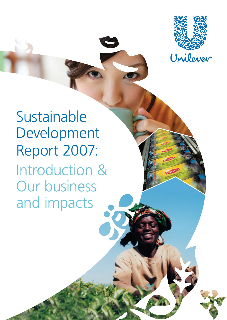

Sustainable Development Report 2007: Introduction & Our business and impacts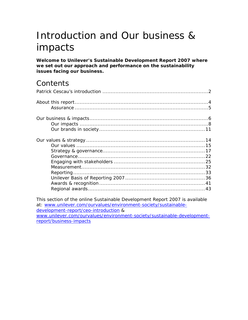# Introduction and Our business & impacts

**Welcome to Unilever's Sustainable Development Report 2007 where we set out our approach and performance on the sustainability issues facing our business.** 

## **Contents**

This s[ection of the online Sustainable Development Report 2007 is available](#page-43-0)  at: www.unilever.com/ourvalues/environment-society/sustainabledevelopment-report/ceo-introduction & ww[w.unilever.com/ourvalues/environment-society/sustainable-deve](http://www.unilever.com/ourvalues/environment-society/sustainable-development-report/ceo-introduction)lopment[report/business-impacts](http://www.unilever.com/ourvalues/environment-society/sustainable-development-report/ceo-introduction)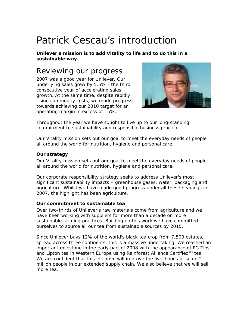## <span id="page-2-0"></span>Patrick Cescau's introduction

**Unilever's mission is to add Vitality to life and to do this in a sustainable way.** 

## Reviewing our progress

2007 was a good year for Unilever. Our underlying sales grew by 5.5% - the third consecutive year of accelerating sales growth. At the same time, despite rapidly rising commodity costs, we made progress towards achieving our 2010 target for an operating margin in excess of 15%.



Throughout the year we have sought to live up to our long-standing commitment to sustainability and responsible business practice.

Our Vitality mission sets out our goal to meet the everyday needs of people all around the world for nutrition, hygiene and personal care.

### **Our strategy**

Our Vitality mission sets out our goal to meet the everyday needs of people all around the world for nutrition, hygiene and personal care.

Our corporate responsibility strategy seeks to address Unilever's most significant sustainability impacts – greenhouse gases, water, packaging and agriculture. Whilst we have made good progress under all these headings in 2007, the highlight has been agriculture.

### **Our commitment to sustainable tea**

Over two-thirds of Unilever's raw materials come from agriculture and we have been working with suppliers for more than a decade on more sustainable farming practices. Building on this work we have committed ourselves to source all our tea from sustainable sources by 2015.

Since Unilever buys 12% of the world's black tea crop from 7,500 estates, spread across three continents, this is a massive undertaking. We reached an important milestone in the early part of 2008 with the appearance of PG Tips and Lipton tea in Western Europe using Rainforest Alliance Certified<sup>™</sup> tea. We are confident that this initiative will improve the livelihoods of some 2 million people in our extended supply chain. We also believe that we will sell more tea.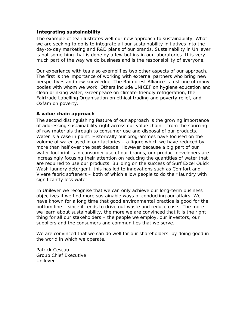#### **Integrating sustainability**

The example of tea illustrates well our new approach to sustainability. What we are seeking to do is to integrate all our sustainability initiatives into the day-to-day marketing and R&D plans of our brands. Sustainability in Unilever is not something that is done by a few boffins in our laboratories. It is very much part of the way we do business and is the responsibility of everyone.

Our experience with tea also exemplifies two other aspects of our approach. The first is the importance of working with external partners who bring new perspectives and new knowledge. The Rainforest Alliance is just one of many bodies with whom we work. Others include UNICEF on hygiene education and clean drinking water, Greenpeace on climate-friendly refrigeration, the Fairtrade Labelling Organisation on ethical trading and poverty relief, and Oxfam on poverty.

#### **A value chain approach**

The second distinguishing feature of our approach is the growing importance of addressing sustainability right across our value chain – from the sourcing of raw materials through to consumer use and disposal of our products. Water is a case in point. Historically our programmes have focused on the volume of water used in our factories – a figure which we have reduced by more than half over the past decade. However because a big part of our water footprint is in consumer use of our brands, our product developers are increasingly focusing their attention on reducing the quantities of water that are required to use our products. Building on the success of Surf Excel Quick Wash laundry detergent, this has led to innovations such as Comfort and Vivere fabric softeners – both of which allow people to do their laundry with significantly less water.

In Unilever we recognise that we can only achieve our long-term business objectives if we find more sustainable ways of conducting our affairs. We have known for a long time that good environmental practice is good for the bottom line – since it tends to drive out waste and reduce costs. The more we learn about sustainability, the more we are convinced that it is the right thing for all our stakeholders – the people we employ, our investors, our suppliers and the consumers and communities that we serve.

We are convinced that we can do well for our shareholders, by doing good in the world in which we operate.

Patrick Cescau Group Chief Executive Unilever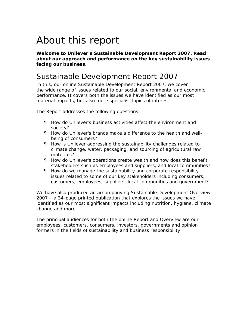# <span id="page-4-0"></span>About this report

**Welcome to Unilever's Sustainable Development Report 2007. Read about our approach and performance on the key sustainability issues facing our business.** 

### Sustainable Development Report 2007

In this, our online Sustainable Development Report 2007, we cover the wide range of issues related to our social, environmental and economic performance. It covers both the issues we have identified as our most material impacts, but also more specialist topics of interest.

The Report addresses the following questions:

- How do Unilever's business activities affect the environment and society?
- How do Unilever's brands make a difference to the health and wellbeing of consumers?
- How is Unilever addressing the sustainability challenges related to climate change, water, packaging, and sourcing of agricultural raw materials?
- How do Unilever's operations create wealth and how does this benefit stakeholders such as employees and suppliers, and local communities?
- How do we manage the sustainability and corporate responsibility issues related to some of our key stakeholders including consumers, customers, employees, suppliers, local communities and government?

We have also produced an accompanying Sustainable Development Overview 2007 – a 34-page printed publication that explores the issues we have identified as our most significant impacts including nutrition, hygiene, climate change and more.

The principal audiences for both the online Report and Overview are our employees, customers, consumers, investors, governments and opinion formers in the fields of sustainability and business responsibility.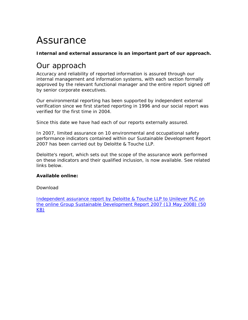## <span id="page-5-0"></span>Assurance

### **Internal and external assurance is an important part of our approach.**

## Our approach

Accuracy and reliability of reported information is assured through our internal management and information systems, with each section formally approved by the relevant functional manager and the entire report signed off by senior corporate executives.

Our environmental reporting has been supported by independent external verification since we first started reporting in 1996 and our social report was verified for the first time in 2004.

Since this date we have had each of our reports externally assured.

In 2007, limited assurance on 10 environmental and occupational safety performance indicators contained within our Sustainable Development Report 2007 has been carried out by Deloitte & Touche LLP.

Deloitte's report, which sets out the scope of the assurance work performed on these indicators and their qualified inclusion, is now available. See related links below.

### **Available online:**

### [Download](http://www.unilever.com/Images/es_final-assurance-statement-2007_tcm13-125058.pdf)

[Inde](http://www.unilever.com/Images/es_final-assurance-statement-2007_tcm13-125058.pdf)pendent assurance report by Deloitte & Touche LLP to Unilever PLC on the online Group Sustainable Development Report 2007 (13 May 2008) (50 KB)